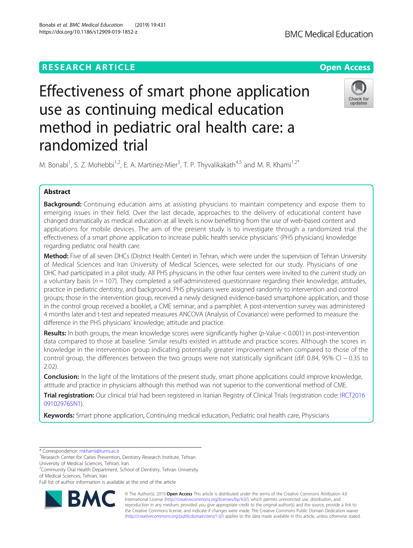# **RESEARCH ARTICLE Example 2014 12:30 The Contract of Contract ACCESS**

# Effectiveness of smart phone application use as continuing medical education method in pediatric oral health care: a randomized trial

M. Bonabi<sup>1</sup>, S. Z. Mohebbi<sup>1,2</sup>, E. A. Martinez-Mier<sup>3</sup>, T. P. Thyvalikakath<sup>4,5</sup> and M. R. Khami<sup>1,2\*</sup>

# Abstract

**Background:** Continuing education aims at assisting physicians to maintain competency and expose them to emerging issues in their field. Over the last decade, approaches to the delivery of educational content have changed dramatically as medical education at all levels is now benefitting from the use of web-based content and applications for mobile devices. The aim of the present study is to investigate through a randomized trial the effectiveness of a smart phone application to increase public health service physicians' (PHS physicians) knowledge regarding pediatric oral health care.

Method: Five of all seven DHCs (District Health Center) in Tehran, which were under the supervision of Tehran University of Medical Sciences and Iran University of Medical Sciences, were selected for our study. Physicians of one DHC had participated in a pilot study. All PHS physicians in the other four centers were invited to the current study on a voluntary basis ( $n = 107$ ). They completed a self-administered questionnaire regarding their knowledge, attitudes, practice in pediatric dentistry, and background. PHS physicians were assigned randomly to intervention and control groups; those in the intervention group, received a newly designed evidence-based smartphone application, and those in the control group received a booklet, a CME seminar, and a pamphlet. A post-intervention survey was administered 4 months later and t-test and repeated measures ANCOVA (Analysis of Covariance) were performed to measure the difference in the PHS physicians' knowledge, attitude and practice.

**Results:** In both groups, the mean knowledge scores were significantly higher ( $p$ -Value < 0.001) in post-intervention data compared to those at baseline. Similar results existed in attitude and practice scores. Although the scores in knowledge in the intervention group indicating potentially greater improvement when compared to those of the control group, the differences between the two groups were not statistically significant (dif: 0.84, 95% CI − 0.35 to 2.02).

**Conclusion:** In the light of the limitations of the present study, smart phone applications could improve knowledge, attitude and practice in physicians although this method was not superior to the conventional method of CME.

Trial registration: Our clinical trial had been registered in Iranian Registry of Clinical Trials (registration code: [IRCT2016](https://www.irct.ir/search/result?query=IRCT2016091029765N1) [091029765N1\)](https://www.irct.ir/search/result?query=IRCT2016091029765N1).

Keywords: Smart phone application, Continuing medical education, Pediatric oral health care, Physicians

\* Correspondence: [mkhami@tums.ac.ir](mailto:mkhami@tums.ac.ir) <sup>1</sup>

RA

<sup>1</sup> Research Center for Caries Prevention, Dentistry Research Institute, Tehran University of Medical Sciences, Tehran, Iran

<sup>2</sup> Community Oral Health Department, School of Dentistry, Tehran University of Medical Sciences, Tehran, Iran

© The Author(s). 2019 Open Access This article is distributed under the terms of the Creative Commons Attribution 4.0 International License [\(http://creativecommons.org/licenses/by/4.0/](http://creativecommons.org/licenses/by/4.0/)), which permits unrestricted use, distribution, and reproduction in any medium, provided you give appropriate credit to the original author(s) and the source, provide a link to the Creative Commons license, and indicate if changes were made. The Creative Commons Public Domain Dedication waiver [\(http://creativecommons.org/publicdomain/zero/1.0/](http://creativecommons.org/publicdomain/zero/1.0/)) applies to the data made available in this article, unless otherwise stated.



Full list of author information is available at the end of the article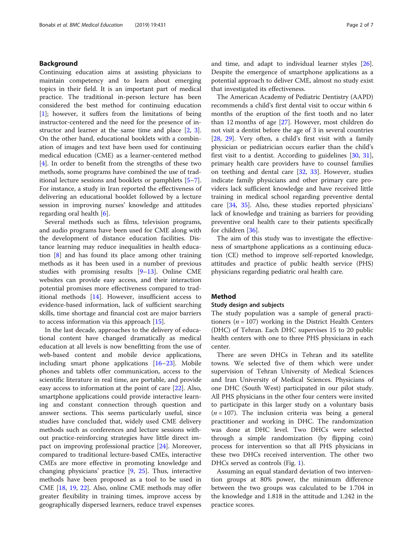# Background

Continuing education aims at assisting physicians to maintain competency and to learn about emerging topics in their field. It is an important part of medical practice. The traditional in-person lecture has been considered the best method for continuing education [[1\]](#page-6-0); however, it suffers from the limitations of being instructor-centered and the need for the presence of instructor and learner at the same time and place [\[2,](#page-6-0) [3](#page-6-0)]. On the other hand, educational booklets with a combination of images and text have been used for continuing medical education (CME) as a learner-centered method [[4\]](#page-6-0). In order to benefit from the strengths of these two methods, some programs have combined the use of traditional lecture sessions and booklets or pamphlets [\[5](#page-6-0)–[7](#page-6-0)]. For instance, a study in Iran reported the effectiveness of delivering an educational booklet followed by a lecture session in improving nurses' knowledge and attitudes regarding oral health [\[6](#page-6-0)].

Several methods such as films, television programs, and audio programs have been used for CME along with the development of distance education facilities. Distance learning may reduce inequalities in health education [[8\]](#page-6-0) and has found its place among other training methods as it has been used in a number of previous studies with promising results [\[9](#page-6-0)–[13](#page-6-0)]. Online CME websites can provide easy access, and their interaction potential promises more effectiveness compared to traditional methods [\[14](#page-6-0)]. However, insufficient access to evidence-based information, lack of sufficient searching skills, time shortage and financial cost are major barriers to access information via this approach [\[15](#page-6-0)].

In the last decade, approaches to the delivery of educational content have changed dramatically as medical education at all levels is now benefitting from the use of web-based content and mobile device applications, including smart phone applications [[16](#page-6-0)–[23](#page-6-0)]. Mobile phones and tablets offer communication, access to the scientific literature in real time, are portable, and provide easy access to information at the point of care [[22\]](#page-6-0). Also, smartphone applications could provide interactive learning and constant connection through question and answer sections. This seems particularly useful, since studies have concluded that, widely used CME delivery methods such as conferences and lecture sessions without practice-reinforcing strategies have little direct impact on improving professional practice [\[24](#page-6-0)]. Moreover, compared to traditional lecture-based CMEs, interactive CMEs are more effective in promoting knowledge and changing physicians' practice [[9,](#page-6-0) [25\]](#page-6-0). Thus, interactive methods have been proposed as a tool to be used in CME [[18,](#page-6-0) [19](#page-6-0), [22\]](#page-6-0). Also, online CME methods may offer greater flexibility in training times, improve access by geographically dispersed learners, reduce travel expenses and time, and adapt to individual learner styles [\[26](#page-6-0)]. Despite the emergence of smartphone applications as a potential approach to deliver CME, almost no study exist that investigated its effectiveness.

The American Academy of Pediatric Dentistry (AAPD) recommends a child's first dental visit to occur within 6 months of the eruption of the first tooth and no later than 12 months of age [[27](#page-6-0)]. However, most children do not visit a dentist before the age of 3 in several countries [[28,](#page-6-0) [29\]](#page-6-0). Very often, a child's first visit with a family physician or pediatrician occurs earlier than the child's first visit to a dentist. According to guidelines [\[30](#page-6-0), [31](#page-6-0)], primary health care providers have to counsel families on teething and dental care [\[32,](#page-6-0) [33](#page-6-0)]. However, studies indicate family physicians and other primary care providers lack sufficient knowledge and have received little training in medical school regarding preventive dental care [\[34](#page-6-0), [35](#page-6-0)]. Also, these studies reported physicians' lack of knowledge and training as barriers for providing preventive oral health care to their patients specifically for children [[36\]](#page-6-0).

The aim of this study was to investigate the effectiveness of smartphone applications as a continuing education (CE) method to improve self-reported knowledge, attitudes and practice of public health service (PHS) physicians regarding pediatric oral health care.

## Method

#### Study design and subjects

The study population was a sample of general practitioners ( $n = 107$ ) working in the District Health Centers (DHC) of Tehran. Each DHC supervises 15 to 20 public health centers with one to three PHS physicians in each center.

There are seven DHCs in Tehran and its satellite towns. We selected five of them which were under supervision of Tehran University of Medical Sciences and Iran University of Medical Sciences. Physicians of one DHC (South West) participated in our pilot study. All PHS physicians in the other four centers were invited to participate in this larger study on a voluntary basis  $(n = 107)$ . The inclusion criteria was being a general practitioner and working in DHC. The randomization was done at DHC level. Two DHCs were selected through a simple randomization (by flipping coin) process for intervention so that all PHS physicians in these two DHCs received intervention. The other two DHCs served as controls (Fig. [1\)](#page-3-0).

Assuming an equal standard deviation of two intervention groups at 80% power, the minimum difference between the two groups was calculated to be 1.704 in the knowledge and 1.818 in the attitude and 1.242 in the practice scores.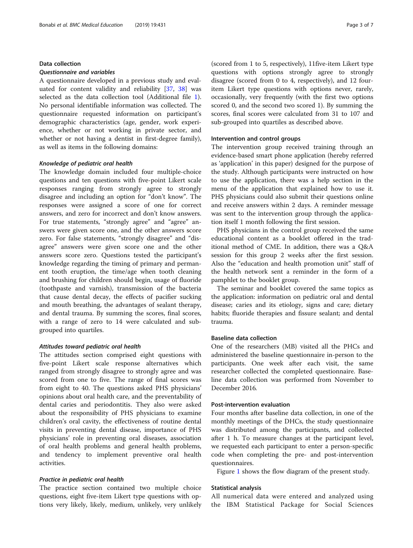# Data collection

## Questionnaire and variables

A questionnaire developed in a previous study and evaluated for content validity and reliability [[37,](#page-6-0) [38\]](#page-6-0) was selected as the data collection tool (Additional file [1](#page-5-0)). No personal identifiable information was collected. The questionnaire requested information on participant's demographic characteristics (age, gender, work experience, whether or not working in private sector, and whether or not having a dentist in first-degree family), as well as items in the following domains:

#### Knowledge of pediatric oral health

The knowledge domain included four multiple-choice questions and ten questions with five-point Likert scale responses ranging from strongly agree to strongly disagree and including an option for "don't know". The responses were assigned a score of one for correct answers, and zero for incorrect and don't know answers. For true statements, "strongly agree" and "agree" answers were given score one, and the other answers score zero. For false statements, "strongly disagree" and "disagree" answers were given score one and the other answers score zero. Questions tested the participant's knowledge regarding the timing of primary and permanent tooth eruption, the time/age when tooth cleaning and brushing for children should begin, usage of fluoride (toothpaste and varnish), transmission of the bacteria that cause dental decay, the effects of pacifier sucking and mouth breathing, the advantages of sealant therapy, and dental trauma. By summing the scores, final scores, with a range of zero to 14 were calculated and subgrouped into quartiles.

#### Attitudes toward pediatric oral health

The attitudes section comprised eight questions with five-point Likert scale response alternatives which ranged from strongly disagree to strongly agree and was scored from one to five. The range of final scores was from eight to 40. The questions asked PHS physicians' opinions about oral health care, and the preventability of dental caries and periodontitis. They also were asked about the responsibility of PHS physicians to examine children's oral cavity, the effectiveness of routine dental visits in preventing dental disease, importance of PHS physicians' role in preventing oral diseases, association of oral health problems and general health problems, and tendency to implement preventive oral health activities.

# Practice in pediatric oral health

The practice section contained two multiple choice questions, eight five-item Likert type questions with options very likely, likely, medium, unlikely, very unlikely (scored from 1 to 5, respectively), 11five-item Likert type questions with options strongly agree to strongly disagree (scored from 0 to 4, respectively), and 12 fouritem Likert type questions with options never, rarely, occasionally, very frequently (with the first two options scored 0, and the second two scored 1). By summing the scores, final scores were calculated from 31 to 107 and sub-grouped into quartiles as described above.

# Intervention and control groups

The intervention group received training through an evidence-based smart phone application (hereby referred as 'application' in this paper) designed for the purpose of the study. Although participants were instructed on how to use the application, there was a help section in the menu of the application that explained how to use it. PHS physicians could also submit their questions online and receive answers within 2 days. A reminder message was sent to the intervention group through the application itself 1 month following the first session.

PHS physicians in the control group received the same educational content as a booklet offered in the traditional method of CME. In addition, there was a Q&A session for this group 2 weeks after the first session. Also the "education and health promotion unit" staff of the health network sent a reminder in the form of a pamphlet to the booklet group.

The seminar and booklet covered the same topics as the application: information on pediatric oral and dental disease; caries and its etiology, signs and care; dietary habits; fluoride therapies and fissure sealant; and dental trauma.

# Baseline data collection

One of the researchers (MB) visited all the PHCs and administered the baseline questionnaire in-person to the participants. One week after each visit, the same researcher collected the completed questionnaire. Baseline data collection was performed from November to December 2016.

# Post-intervention evaluation

Four months after baseline data collection, in one of the monthly meetings of the DHCs, the study questionnaire was distributed among the participants, and collected after 1 h. To measure changes at the participant level, we requested each participant to enter a person-specific code when completing the pre- and post-intervention questionnaires.

Figure [1](#page-3-0) shows the flow diagram of the present study.

#### Statistical analysis

All numerical data were entered and analyzed using the IBM Statistical Package for Social Sciences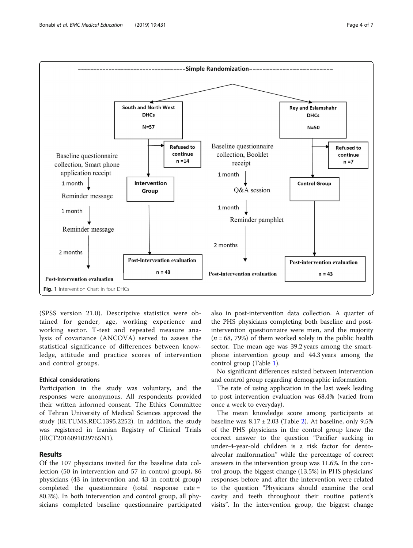<span id="page-3-0"></span>

2 months

**Post-intervention evaluation** 

Reminder pamphlet

(SPSS version 21.0). Descriptive statistics were obtained for gender, age, working experience and working sector. T-test and repeated measure analysis of covariance (ANCOVA) served to assess the statistical significance of differences between knowledge, attitude and practice scores of intervention and control groups.

**Post-intervention evaluation** 

 $n = 43$ 

# Ethical considerations

Fig. 1 Intervention Chart in four DHCs

**Post-intervention evaluation** 

Reminder message

2 months

Participation in the study was voluntary, and the responses were anonymous. All respondents provided their written informed consent. The Ethics Committee of Tehran University of Medical Sciences approved the study (IR.TUMS.REC.1395.2252). In addition, the study was registered in Iranian Registry of Clinical Trials (IRCT2016091029765N1).

# Results

Of the 107 physicians invited for the baseline data collection (50 in intervention and 57 in control group), 86 physicians (43 in intervention and 43 in control group) completed the questionnaire (total response rate = 80.3%). In both intervention and control group, all physicians completed baseline questionnaire participated

also in post-intervention data collection. A quarter of the PHS physicians completing both baseline and postintervention questionnaire were men, and the majority  $(n = 68, 79%)$  of them worked solely in the public health sector. The mean age was 39.2 years among the smartphone intervention group and 44.3 years among the control group (Table [1](#page-4-0)).

**Post-intervention evaluation** 

 $n = 43$ 

No significant differences existed between intervention and control group regarding demographic information.

The rate of using application in the last week leading to post intervention evaluation was 68.4% (varied from once a week to everyday).

The mean knowledge score among participants at baseline was  $8.17 \pm 2.03$  $8.17 \pm 2.03$  $8.17 \pm 2.03$  (Table 2). At baseline, only 9.5% of the PHS physicians in the control group knew the correct answer to the question "Pacifier sucking in under-4-year-old children is a risk factor for dentoalveolar malformation" while the percentage of correct answers in the intervention group was 11.6%. In the control group, the biggest change (13.5%) in PHS physicians' responses before and after the intervention were related to the question "Physicians should examine the oral cavity and teeth throughout their routine patient's visits". In the intervention group, the biggest change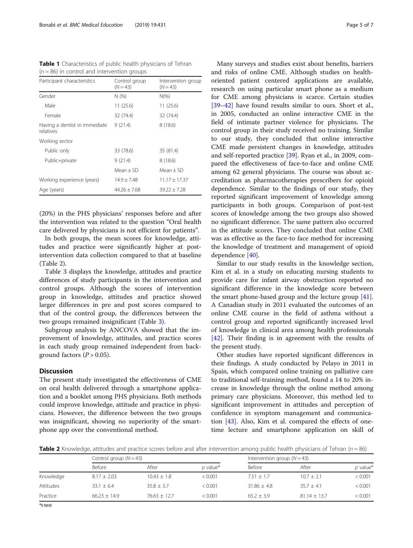| Control group<br>Participant characteristics<br>$(N = 43)$<br>Gender<br>N(% )<br>Male<br>11(25.6)<br>Female<br>32 (74.4) |                                  |
|--------------------------------------------------------------------------------------------------------------------------|----------------------------------|
|                                                                                                                          | Intervention group<br>$(N = 43)$ |
|                                                                                                                          | $N(\%)$                          |
|                                                                                                                          | 11 (25.6)                        |
|                                                                                                                          | 32 (74.4)                        |
| Having a dentist in immediate<br>9(21.4)<br>relatives                                                                    | 8(18.6)                          |
| Working sector                                                                                                           |                                  |
| Public only<br>33 (78.6)                                                                                                 | 35 (81.4)                        |
| 9(21.4)<br>Public+private                                                                                                | 8(18.6)                          |
| Mean $\pm$ SD                                                                                                            | Mean $\pm$ SD                    |
| Working experience (years)<br>$14.9 \pm 7.48$                                                                            | $11.17 \pm 17.37$                |
| Age (years)<br>$44.26 + 7.68$                                                                                            | $39.22 \pm 7.28$                 |

<span id="page-4-0"></span>Table 1 Characteristics of public health physicians of Tehran  $(n = 86)$  in control and intervention groups

(20%) in the PHS physicians' responses before and after the intervention was related to the question "Oral health care delivered by physicians is not efficient for patients".

In both groups, the mean scores for knowledge, attitudes and practice were significantly higher at postintervention data collection compared to that at baseline (Table 2).

Table [3](#page-5-0) displays the knowledge, attitudes and practice differences of study participants in the intervention and control groups. Although the scores of intervention group in knowledge, attitudes and practice showed larger differences in pre and post scores compared to that of the control group, the differences between the two groups remained insignificant (Table [3](#page-5-0)).

Subgroup analysis by ANCOVA showed that the improvement of knowledge, attitudes, and practice scores in each study group remained independent from background factors  $(P > 0.05)$ .

# **Discussion**

The present study investigated the effectiveness of CME on oral health delivered through a smartphone application and a booklet among PHS physicians. Both methods could improve knowledge, attitude and practice in physicians. However, the difference between the two groups was insignificant, showing no superiority of the smartphone app over the conventional method.

Many surveys and studies exist about benefits, barriers and risks of online CME. Although studies on healthoriented patient centered applications are available, research on using particular smart phone as a medium for CME among physicians is scarce. Certain studies [[39](#page-6-0)–[42](#page-6-0)] have found results similar to ours. Short et al., in 2005, conducted an online interactive CME in the field of intimate partner violence for physicians. The control group in their study received no training. Similar to our study, they concluded that online interactive CME made persistent changes in knowledge, attitudes and self-reported practice [[39\]](#page-6-0). Ryan et al., in 2009, compared the effectiveness of face-to-face and online CME among 62 general physicians. The course was about accreditation as pharmacotherapies prescribers for opioid dependence. Similar to the findings of our study, they reported significant improvement of knowledge among participants in both groups. Comparison of post-test scores of knowledge among the two groups also showed no significant difference. The same pattern also occurred in the attitude scores. They concluded that online CME was as effective as the face-to face method for increasing the knowledge of treatment and management of opioid dependence [\[40](#page-6-0)].

Similar to our study results in the knowledge section, Kim et al. in a study on educating nursing students to provide care for infant airway obstruction reported no significant difference in the knowledge score between the smart phone-based group and the lecture group [\[41](#page-6-0)]. A Canadian study in 2011 evaluated the outcomes of an online CME course in the field of asthma without a control group and reported significantly increased level of knowledge in clinical area among health professionals [[42\]](#page-6-0). Their finding is in agreement with the results of the present study.

Other studies have reported significant differences in their findings. A study conducted by Pelayo in 2011 in Spain, which compared online training on palliative care to traditional self-training method, found a 14 to 20% increase in knowledge through the online method among primary care physicians. Moreover, this method led to significant improvement in attitudes and perception of confidence in symptom management and communication  $[43]$ . Also, Kim et al. compared the effects of onetime lecture and smartphone application on skill of

**Table 2** Knowledge, attitudes and practice scores before and after intervention among public health physicians of Tehran ( $n = 86$ )

|             | Control group $(N = 43)$ |                 |            | Intervention group $(N = 43)$ |                  |            |
|-------------|--------------------------|-----------------|------------|-------------------------------|------------------|------------|
|             | Before                   | After           | $p$ value* | Before                        | After            | $p$ value* |
| Knowledge   | $8.17 \pm 2.03$          | $10.43 \pm 1.8$ | < 0.001    | $7.51 + 1.7$                  | $10.7 + 2.1$     | < 0.001    |
| Attitudes   | $33.1 \pm 6.4$           | $35.8 + 3.7$    | < 0.001    | $31.86 + 4.8$                 | $35.7 + 4.1$     | < 0.001    |
| Practice    | $66.23 + 14.9$           | $76.63 + 12.7$  | < 0.001    | $65.2 + 3.9$                  | $81.14 \pm 13.7$ | < 0.001    |
| $# + + - +$ |                          |                 |            |                               |                  |            |

\*t-test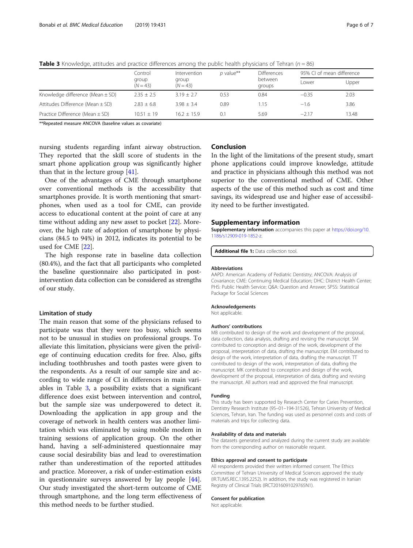|                                      | Control<br>group<br>$(N = 43)$ | Intervention<br>group<br>$(N = 43)$ | $p$ value** | <b>Differences</b> | 95% CI of mean difference |       |
|--------------------------------------|--------------------------------|-------------------------------------|-------------|--------------------|---------------------------|-------|
|                                      |                                |                                     |             | between<br>groups  | l ower                    | Upper |
| Knowledge difference (Mean $\pm$ SD) | $2.35 + 2.5$                   | $3.19 + 2.7$                        | 0.53        | 0.84               | $-0.35$                   | 2.03  |
| Attitudes Difference (Mean $\pm$ SD) | $2.83 + 6.8$                   | $3.98 + 3.4$                        | 0.89        | 1.15               | $-1.6$                    | 3.86  |
| Practice Difference (Mean $\pm$ SD)  | $10.51 + 19$                   | $16.2 + 15.9$                       | 0.1         | 5.69               | $-2.17$                   | 13.48 |

<span id="page-5-0"></span>**Table 3** Knowledge, attitudes and practice differences among the public health physicians of Tehran ( $n = 86$ )

\*\*Repeated measure ANCOVA (baseline values as covariate)

nursing students regarding infant airway obstruction. They reported that the skill score of students in the smart phone application group was significantly higher than that in the lecture group [[41\]](#page-6-0).

One of the advantages of CME through smartphone over conventional methods is the accessibility that smartphones provide. It is worth mentioning that smartphones, when used as a tool for CME, can provide access to educational content at the point of care at any time without adding any new asset to pocket [[22](#page-6-0)]. Moreover, the high rate of adoption of smartphone by physicians (84.5 to 94%) in 2012, indicates its potential to be used for CME [\[22](#page-6-0)].

The high response rate in baseline data collection (80.4%), and the fact that all participants who completed the baseline questionnaire also participated in postintervention data collection can be considered as strengths of our study.

# Limitation of study

The main reason that some of the physicians refused to participate was that they were too busy, which seems not to be unusual in studies on professional groups. To alleviate this limitation, physicians were given the privilege of continuing education credits for free. Also, gifts including toothbrushes and tooth pastes were given to the respondents. As a result of our sample size and according to wide range of CI in differences in main variables in Table 3, a possibility exists that a significant difference does exist between intervention and control, but the sample size was underpowered to detect it. Downloading the application in app group and the coverage of network in health centers was another limitation which was eliminated by using mobile modem in training sessions of application group. On the other hand, having a self-administered questionnaire may cause social desirability bias and lead to overestimation rather than underestimation of the reported attitudes and practice. Moreover, a risk of under-estimation exists in questionnaire surveys answered by lay people [\[44](#page-6-0)]. Our study investigated the short-term outcome of CME through smartphone, and the long term effectiveness of this method needs to be further studied.

# Conclusion

In the light of the limitations of the present study, smart phone applications could improve knowledge, attitude and practice in physicians although this method was not superior to the conventional method of CME. Other aspects of the use of this method such as cost and time savings, its widespread use and higher ease of accessibility need to be further investigated.

#### Supplementary information

Supplementary information accompanies this paper at [https://doi.org/10.](https://doi.org/10.1186/s12909-019-1852-z) [1186/s12909-019-1852-z](https://doi.org/10.1186/s12909-019-1852-z).

Additional file 1: Data collection tool

#### Abbreviations

AAPD: American Academy of Pediatric Dentistry; ANCOVA: Analysis of Covariance; CME: Continuing Medical Education; DHC: District Health Center; PHS: Public Health Service; Q&A: Question and Answer; SPSS: Statistical Package for Social Sciences

#### Acknowledgements

Not applicable.

#### Authors' contributions

MB contributed to design of the work and development of the proposal. data collection, data analysis, drafting and revising the manuscript. SM contributed to conception and design of the work, development of the proposal, interpretation of data, drafting the manuscript. EM contributed to design of the work, interpretation of data, drafting the manuscript. TT contributed to design of the work, interpretation of data, drafting the manuscript. MK contributed to conception and design of the work, development of the proposal, interpretation of data, drafting and revising the manuscript. All authors read and approved the final manuscript.

#### Funding

This study has been supported by Research Center for Caries Prevention, Dentistry Research Institute (95–01–194-31526), Tehran University of Medical Sciences, Tehran, Iran. The funding was used as personnel costs and costs of materials and trips for collecting data.

#### Availability of data and materials

The datasets generated and analyzed during the current study are available from the corresponding author on reasonable request.

# Ethics approval and consent to participate

All respondents provided their written informed consent. The Ethics Committee of Tehran University of Medical Sciences approved the study (IR.TUMS.REC.1395.2252). In addition, the study was registered in Iranian Registry of Clinical Trials (IRCT2016091029765N1).

# Consent for publication

Not applicable.